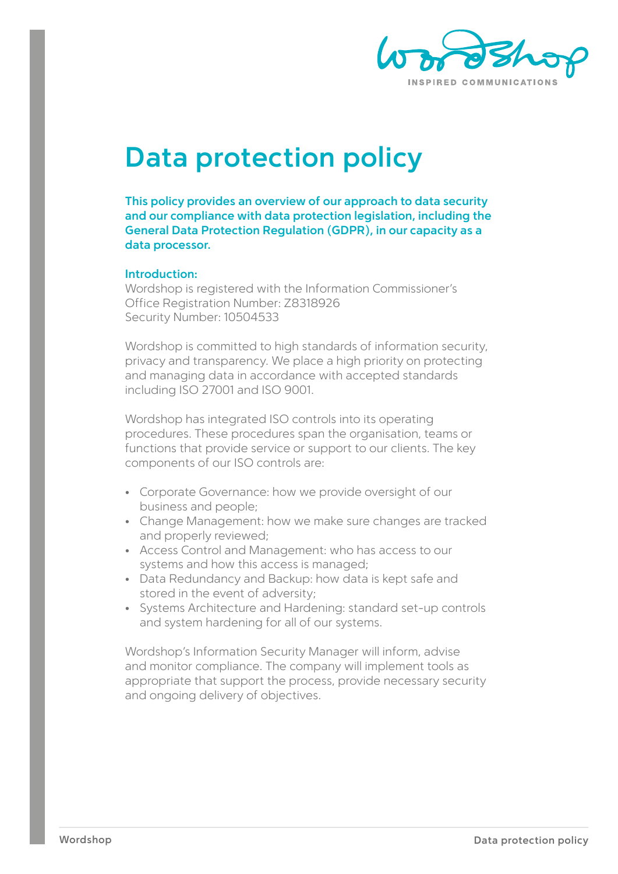

# **Data protection policy**

**This policy provides an overview of our approach to data security and our compliance with data protection legislation, including the General Data Protection Regulation (GDPR), in our capacity as a data processor.**

#### **Introduction:**

Wordshop is registered with the Information Commissioner's Office Registration Number: Z8318926 Security Number: 10504533

Wordshop is committed to high standards of information security, privacy and transparency. We place a high priority on protecting and managing data in accordance with accepted standards including ISO 27001 and ISO 9001.

Wordshop has integrated ISO controls into its operating procedures. These procedures span the organisation, teams or functions that provide service or support to our clients. The key components of our ISO controls are:

- Corporate Governance: how we provide oversight of our business and people;
- Change Management: how we make sure changes are tracked and properly reviewed;
- Access Control and Management: who has access to our systems and how this access is managed;
- Data Redundancy and Backup: how data is kept safe and stored in the event of adversity;
- Systems Architecture and Hardening: standard set-up controls and system hardening for all of our systems.

Wordshop's Information Security Manager will inform, advise and monitor compliance. The company will implement tools as appropriate that support the process, provide necessary security and ongoing delivery of objectives.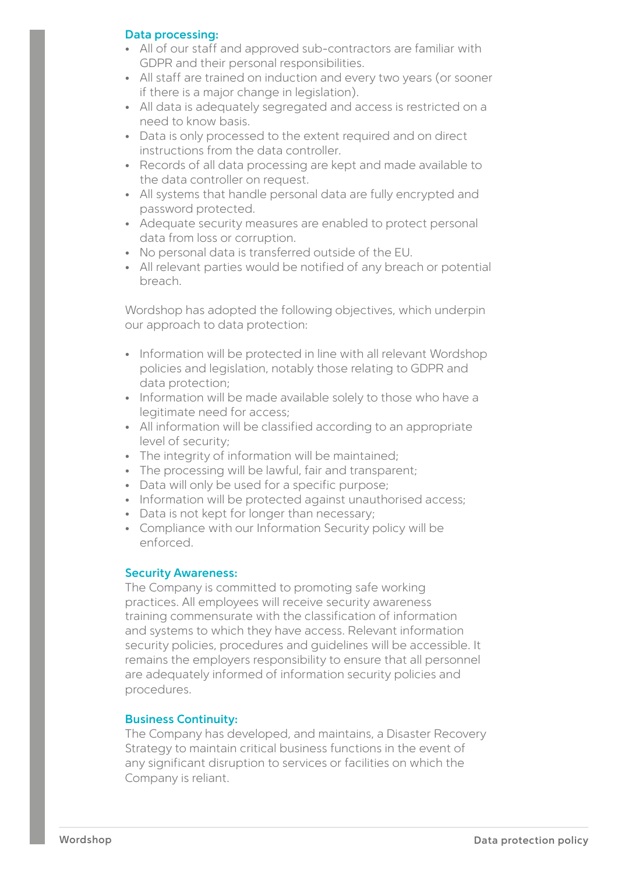# **Data processing:**

- All of our staff and approved sub-contractors are familiar with GDPR and their personal responsibilities.
- All staff are trained on induction and every two years (or sooner if there is a major change in legislation).
- All data is adequately segregated and access is restricted on a need to know basis.
- Data is only processed to the extent required and on direct instructions from the data controller.
- Records of all data processing are kept and made available to the data controller on request.
- All systems that handle personal data are fully encrypted and password protected.
- Adequate security measures are enabled to protect personal data from loss or corruption.
- No personal data is transferred outside of the EU.
- All relevant parties would be notified of any breach or potential breach.

Wordshop has adopted the following objectives, which underpin our approach to data protection:

- Information will be protected in line with all relevant Wordshop policies and legislation, notably those relating to GDPR and data protection;
- Information will be made available solely to those who have a legitimate need for access;
- All information will be classified according to an appropriate level of security;
- The integrity of information will be maintained;
- The processing will be lawful, fair and transparent;
- Data will only be used for a specific purpose;
- Information will be protected against unauthorised access;
- Data is not kept for longer than necessary;
- Compliance with our Information Security policy will be enforced.

# **Security Awareness:**

The Company is committed to promoting safe working practices. All employees will receive security awareness training commensurate with the classification of information and systems to which they have access. Relevant information security policies, procedures and guidelines will be accessible. It remains the employers responsibility to ensure that all personnel are adequately informed of information security policies and procedures.

# **Business Continuity:**

The Company has developed, and maintains, a Disaster Recovery Strategy to maintain critical business functions in the event of any significant disruption to services or facilities on which the Company is reliant.